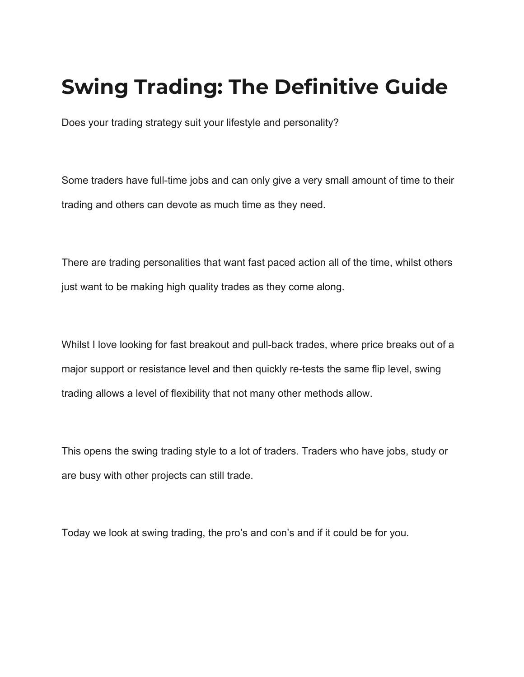# <span id="page-0-0"></span>**Swing Trading: The Definitive Guide**

Does your trading strategy suit your lifestyle and personality?

Some traders have full-time jobs and can only give a very small amount of time to their trading and others can devote as much time as they need.

There are trading personalities that want fast paced action all of the time, whilst others just want to be making high quality trades as they come along.

Whilst I love looking for fast breakout and pull-back trades, where price breaks out of a major support or resistance level and then quickly re-tests the same flip level, swing trading allows a level of flexibility that not many other methods allow.

This opens the swing trading style to a lot of traders. Traders who have jobs, study or are busy with other projects can still trade.

Today we look at swing trading, the pro's and con's and if it could be for you.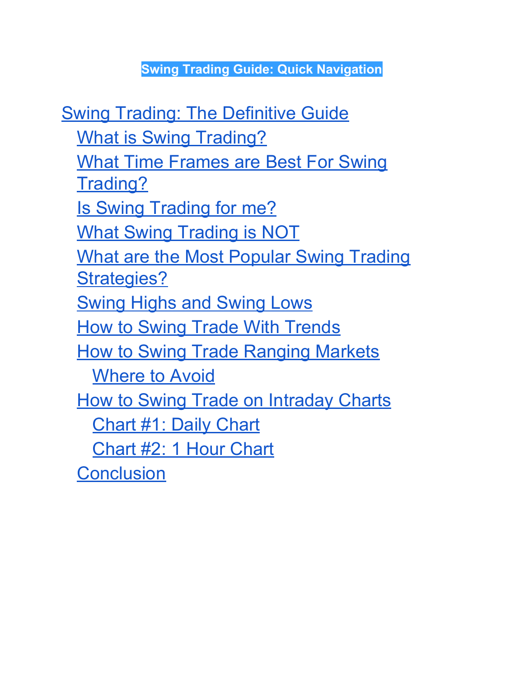**Swing Trading Guide: Quick Navigation**

[Swing Trading: The Definitive Guide](#page-0-0) [What is Swing Trading?](#page-2-0) [What Time Frames are Best For Swing](#page-4-0) [Trading?](#page-4-0) [Is Swing Trading for me?](#page-5-0) What Swing Trading is NOT [What are the Most Popular Swing Trading](#page-7-0) [Strategies?](#page-7-0) **[Swing Highs and Swing Lows](#page-7-1)** [How to Swing Trade With Trends](#page-9-0) [How to Swing Trade Ranging Markets](#page-14-0) [Where to Avoid](#page-15-0) **[How to Swing Trade on Intraday Charts](#page-16-0)** [Chart #1: Daily Chart](#page-18-0) [Chart #2: 1 Hour Chart](#page-19-0) **[Conclusion](#page-20-0)**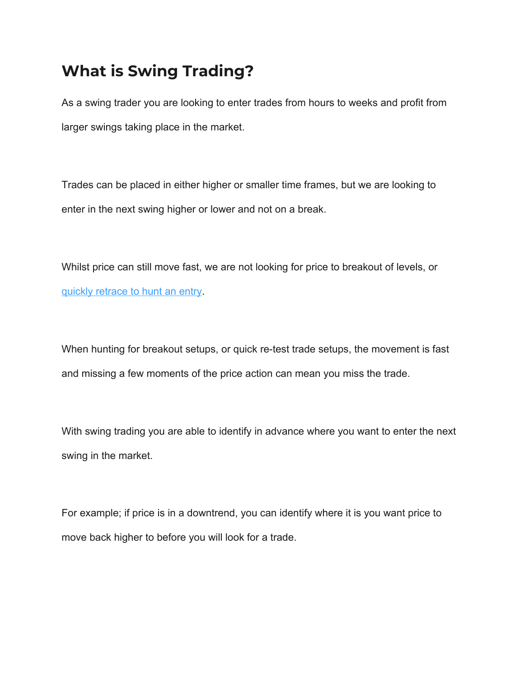### <span id="page-2-0"></span>**What is Swing Trading?**

As a swing trader you are looking to enter trades from hours to weeks and profit from larger swings taking place in the market.

Trades can be placed in either higher or smaller time frames, but we are looking to enter in the next swing higher or lower and not on a break.

Whilst price can still move fast, we are not looking for price to breakout of levels, or [quickly retrace to hunt an entry](https://www.forexschoolonline.com/first-test-support-resistance-price-action-trading-strategy/).

When hunting for breakout setups, or quick re-test trade setups, the movement is fast and missing a few moments of the price action can mean you miss the trade.

With swing trading you are able to identify in advance where you want to enter the next swing in the market.

For example; if price is in a downtrend, you can identify where it is you want price to move back higher to before you will look for a trade.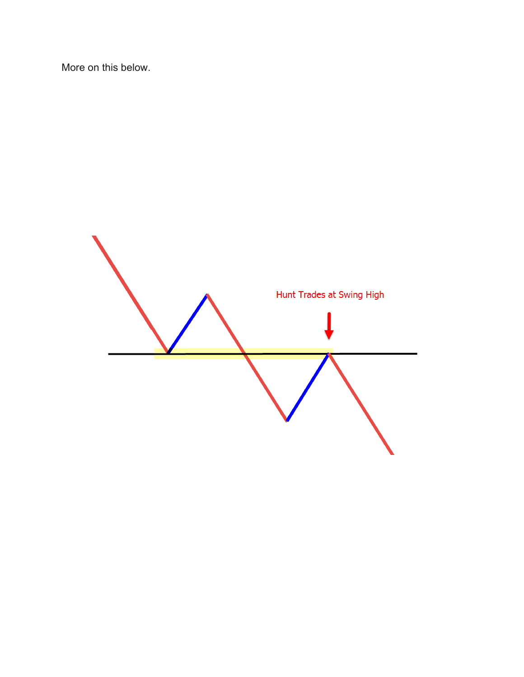More on this below.

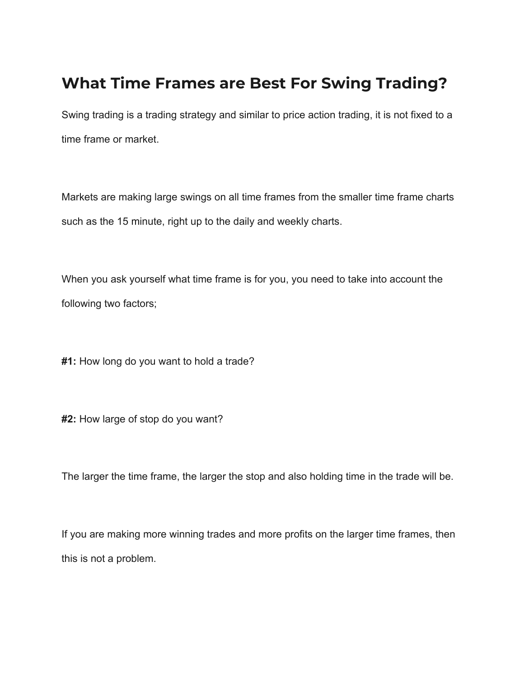### <span id="page-4-0"></span>**What Time Frames are Best For Swing Trading?**

Swing trading is a trading strategy and similar to price action trading, it is not fixed to a time frame or market.

Markets are making large swings on all time frames from the smaller time frame charts such as the 15 minute, right up to the daily and weekly charts.

When you ask yourself what time frame is for you, you need to take into account the following two factors;

**#1:** How long do you want to hold a trade?

**#2:** How large of stop do you want?

The larger the time frame, the larger the stop and also holding time in the trade will be.

If you are making more winning trades and more profits on the larger time frames, then this is not a problem.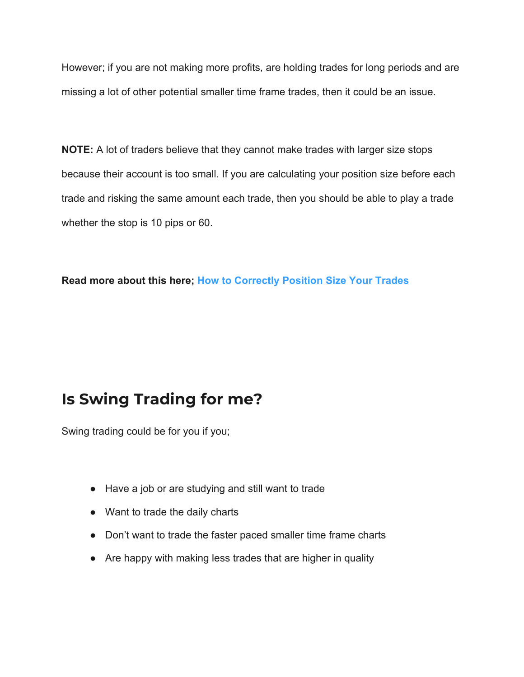However; if you are not making more profits, are holding trades for long periods and are missing a lot of other potential smaller time frame trades, then it could be an issue.

**NOTE:** A lot of traders believe that they cannot make trades with larger size stops because their account is too small. If you are calculating your position size before each trade and risking the same amount each trade, then you should be able to play a trade whether the stop is 10 pips or 60.

**Read more about this here; [How to Correctly Position Size Your Trades](https://www.forexschoolonline.com/forex-money-management-that-actually-works/)**

### <span id="page-5-0"></span>**Is Swing Trading for me?**

Swing trading could be for you if you;

- Have a job or are studying and still want to trade
- Want to trade the daily charts
- Don't want to trade the faster paced smaller time frame charts
- Are happy with making less trades that are higher in quality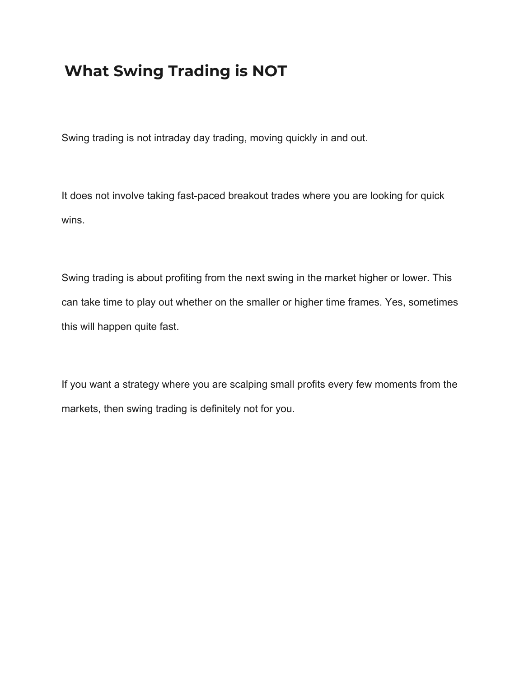### **What Swing Trading is NOT**

Swing trading is not intraday day trading, moving quickly in and out.

It does not involve taking fast-paced breakout trades where you are looking for quick wins.

Swing trading is about profiting from the next swing in the market higher or lower. This can take time to play out whether on the smaller or higher time frames. Yes, sometimes this will happen quite fast.

If you want a strategy where you are scalping small profits every few moments from the markets, then swing trading is definitely not for you.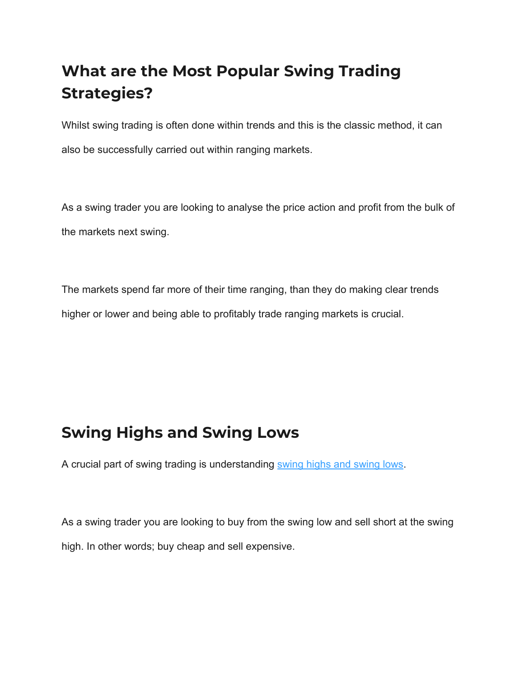## <span id="page-7-0"></span>**What are the Most Popular Swing Trading Strategies?**

Whilst swing trading is often done within trends and this is the classic method, it can also be successfully carried out within ranging markets.

As a swing trader you are looking to analyse the price action and profit from the bulk of the markets next swing.

The markets spend far more of their time ranging, than they do making clear trends higher or lower and being able to profitably trade ranging markets is crucial.

### <span id="page-7-1"></span>**Swing Highs and Swing Lows**

A crucial part of swing trading is understanding [swing highs and swing lows.](https://www.forexschoolonline.com/make-money-trading-reversal-signals/)

As a swing trader you are looking to buy from the swing low and sell short at the swing high. In other words; buy cheap and sell expensive.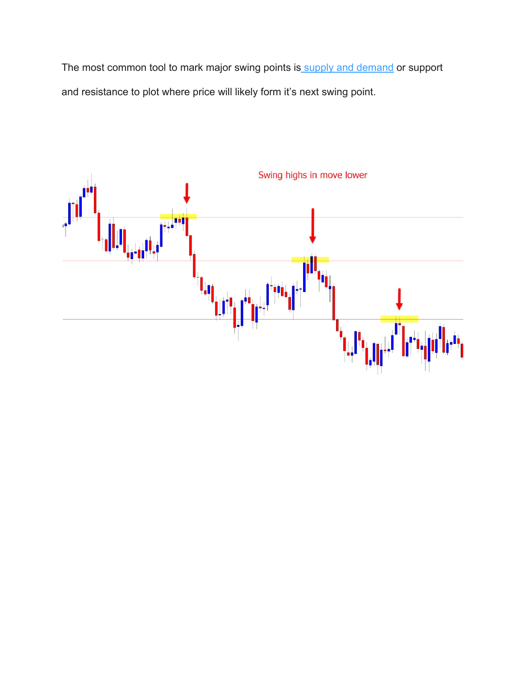The most common tool to mark major swing points is [supply and demand](https://www.forexschoolonline.com/supply-and-demand/) or support and resistance to plot where price will likely form it's next swing point.

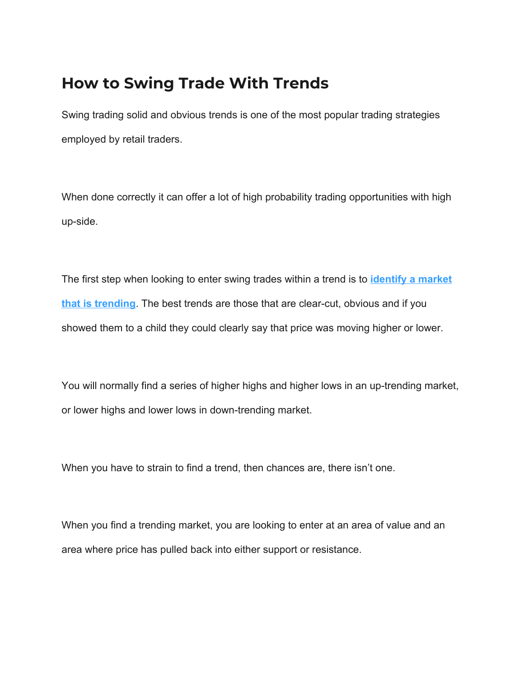#### <span id="page-9-0"></span>**How to Swing Trade With Trends**

Swing trading solid and obvious trends is one of the most popular trading strategies employed by retail traders.

When done correctly it can offer a lot of high probability trading opportunities with high up-side.

The first step when looking to enter swing trades within a trend is to **[identify a market](https://www.forexschoolonline.com/how-to-trend-trade-price-action-in-depth-tutorial/) [that is trending](https://www.forexschoolonline.com/how-to-trend-trade-price-action-in-depth-tutorial/)**. The best trends are those that are clear-cut, obvious and if you showed them to a child they could clearly say that price was moving higher or lower.

You will normally find a series of higher highs and higher lows in an up-trending market, or lower highs and lower lows in down-trending market.

When you have to strain to find a trend, then chances are, there isn't one.

When you find a trending market, you are looking to enter at an area of value and an area where price has pulled back into either support or resistance.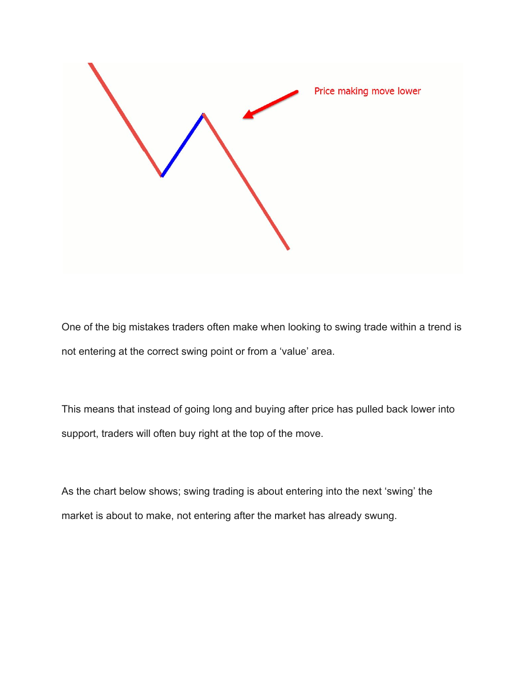

One of the big mistakes traders often make when looking to swing trade within a trend is not entering at the correct swing point or from a 'value' area.

This means that instead of going long and buying after price has pulled back lower into support, traders will often buy right at the top of the move.

As the chart below shows; swing trading is about entering into the next 'swing' the market is about to make, not entering after the market has already swung.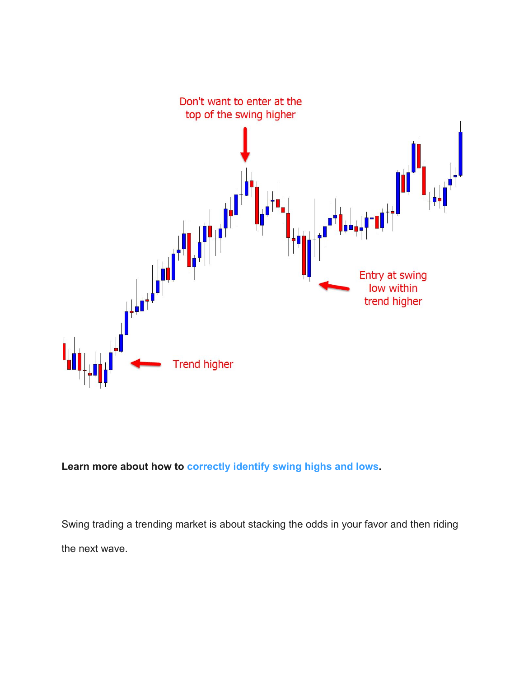

**Learn more about how to [correctly identify swing highs and lows](https://www.forexschoolonline.com/how-professionals-trade-forex-hunt-stops/).**

Swing trading a trending market is about stacking the odds in your favor and then riding the next wave.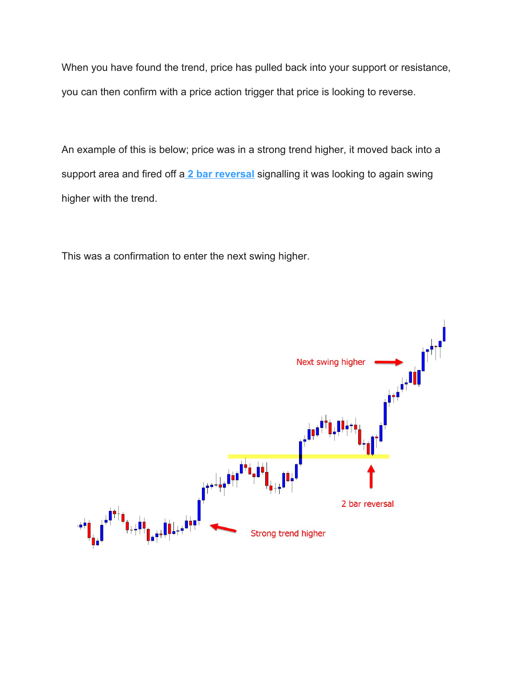When you have found the trend, price has pulled back into your support or resistance, you can then confirm with a price action trigger that price is looking to reverse.

An example of this is below; price was in a strong trend higher, it moved back into a support area and fired off a **[2 bar reversal](https://www.forexschoolonline.com/the-2-bar-reversal/)** signalling it was looking to again swing higher with the trend.

This was a confirmation to enter the next swing higher.

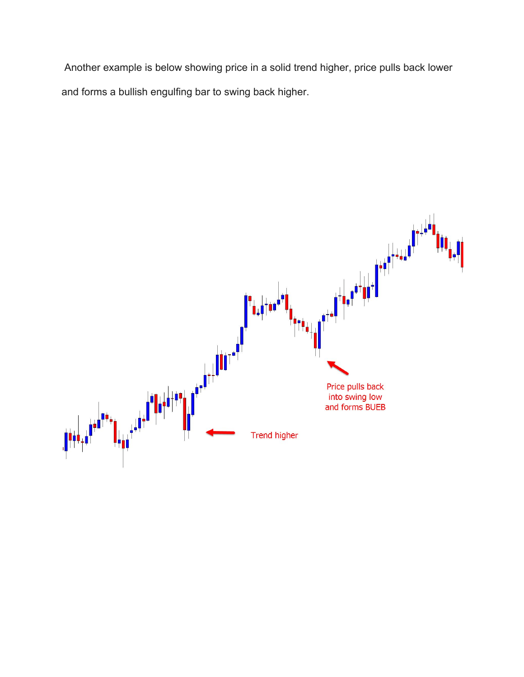Another example is below showing price in a solid trend higher, price pulls back lower and forms a bullish engulfing bar to swing back higher.

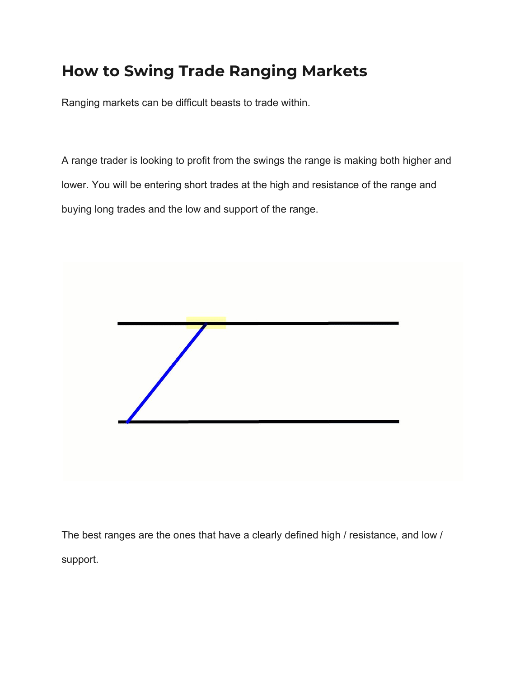## <span id="page-14-0"></span>**How to Swing Trade Ranging Markets**

Ranging markets can be difficult beasts to trade within.

A range trader is looking to profit from the swings the range is making both higher and lower. You will be entering short trades at the high and resistance of the range and buying long trades and the low and support of the range.



The best ranges are the ones that have a clearly defined high / resistance, and low / support.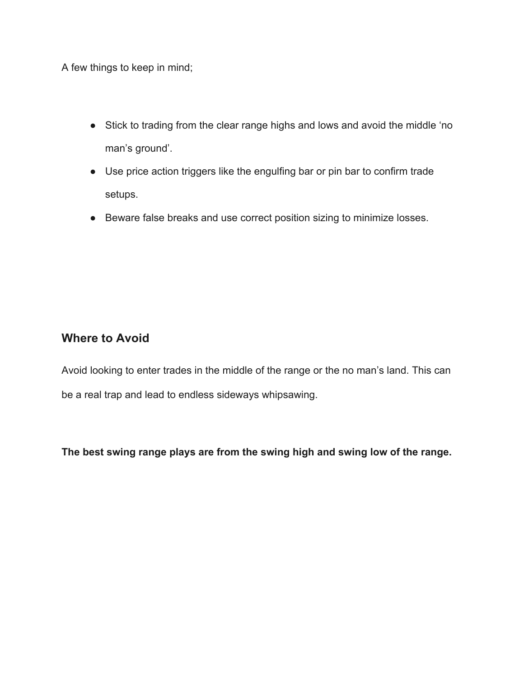A few things to keep in mind;

- Stick to trading from the clear range highs and lows and avoid the middle 'no man's ground'.
- Use price action triggers like the engulfing bar or pin bar to confirm trade setups.
- Beware false breaks and use correct position sizing to minimize losses.

#### <span id="page-15-0"></span>**Where to Avoid**

Avoid looking to enter trades in the middle of the range or the no man's land. This can be a real trap and lead to endless sideways whipsawing.

**The best swing range plays are from the swing high and swing low of the range.**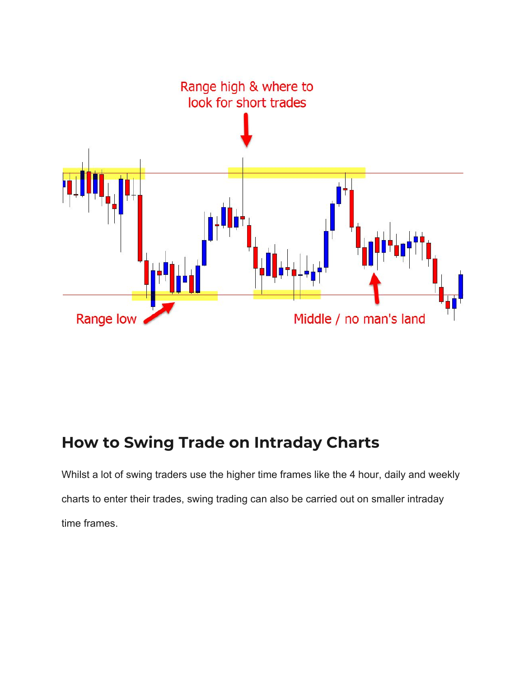

### <span id="page-16-0"></span>**How to Swing Trade on Intraday Charts**

Whilst a lot of swing traders use the higher time frames like the 4 hour, daily and weekly charts to enter their trades, swing trading can also be carried out on smaller intraday time frames.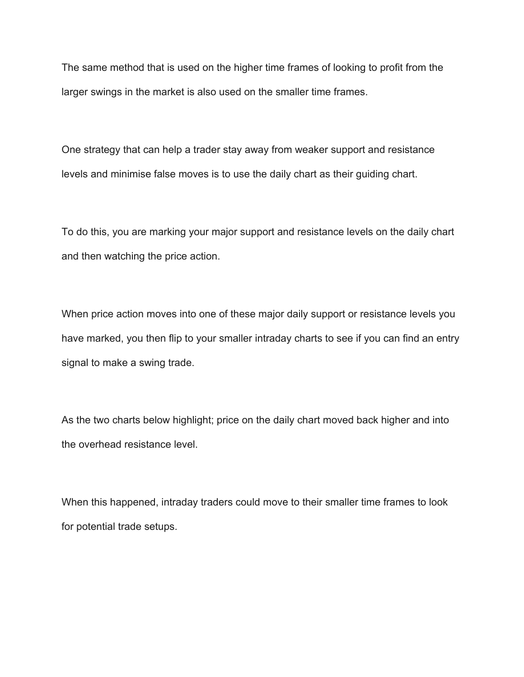The same method that is used on the higher time frames of looking to profit from the larger swings in the market is also used on the smaller time frames.

One strategy that can help a trader stay away from weaker support and resistance levels and minimise false moves is to use the daily chart as their guiding chart.

To do this, you are marking your major support and resistance levels on the daily chart and then watching the price action.

When price action moves into one of these major daily support or resistance levels you have marked, you then flip to your smaller intraday charts to see if you can find an entry signal to make a swing trade.

As the two charts below highlight; price on the daily chart moved back higher and into the overhead resistance level.

When this happened, intraday traders could move to their smaller time frames to look for potential trade setups.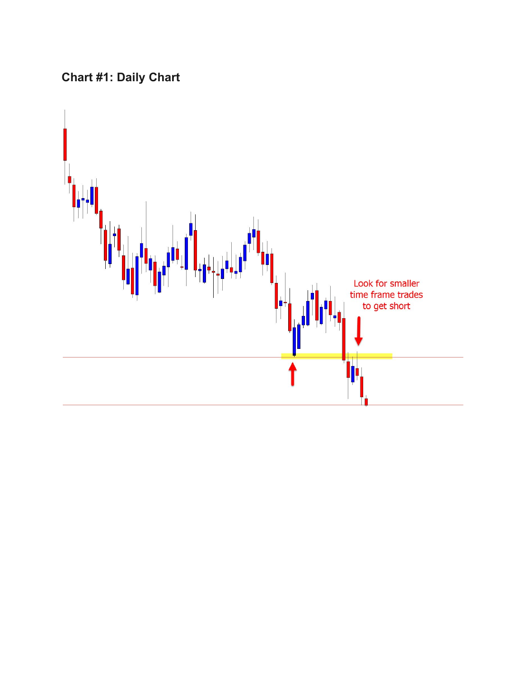### <span id="page-18-0"></span>**Chart #1: Daily Chart**

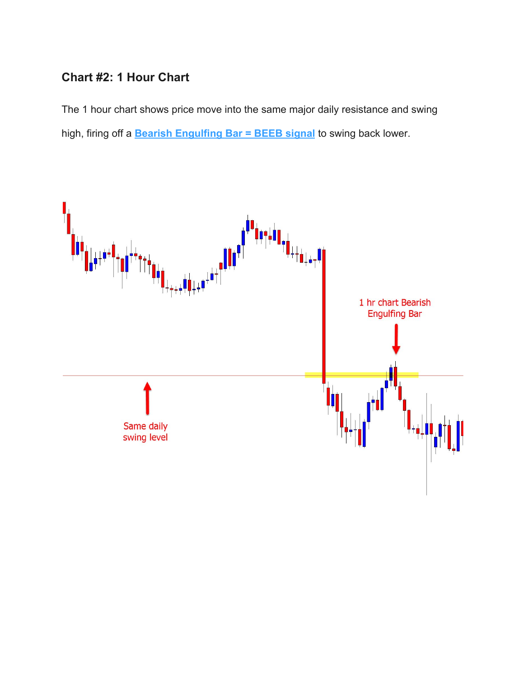#### <span id="page-19-0"></span>**Chart #2: 1 Hour Chart**

The 1 hour chart shows price move into the same major daily resistance and swing high, firing off a **[Bearish Engulfing Bar = BEEB signal](https://www.forexschoolonline.com/bullish-and-bearish-engulfing-bars-introduction-html/)** to swing back lower.